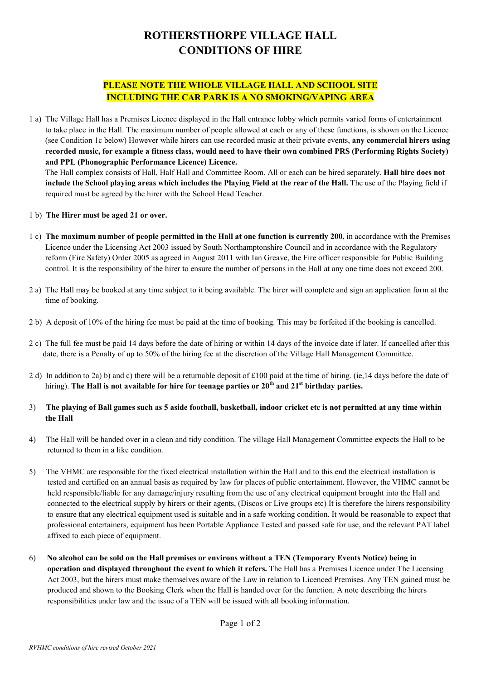## ROTHERSTHORPE VILLAGE HALL CONDITIONS OF HIRE

## PLEASE NOTE THE WHOLE VILLAGE HALL AND SCHOOL SITE INCLUDING THE CAR PARK IS A NO SMOKING/VAPING AREA

1 a) The Village Hall has a Premises Licence displayed in the Hall entrance lobby which permits varied forms of entertainment to take place in the Hall. The maximum number of people allowed at each or any of these functions, is shown on the Licence (see Condition 1c below) However while hirers can use recorded music at their private events, any commercial hirers using recorded music, for example a fitness class, would need to have their own combined PRS (Performing Rights Society) and PPL (Phonographic Performance Licence) Licence.

 The Hall complex consists of Hall, Half Hall and Committee Room. All or each can be hired separately. Hall hire does not include the School playing areas which includes the Playing Field at the rear of the Hall. The use of the Playing field if required must be agreed by the hirer with the School Head Teacher.

- 1 b) The Hirer must be aged 21 or over.
- 1 c) The maximum number of people permitted in the Hall at one function is currently 200, in accordance with the Premises Licence under the Licensing Act 2003 issued by South Northamptonshire Council and in accordance with the Regulatory reform (Fire Safety) Order 2005 as agreed in August 2011 with Ian Greave, the Fire officer responsible for Public Building control. It is the responsibility of the hirer to ensure the number of persons in the Hall at any one time does not exceed 200.
- 2 a) The Hall may be booked at any time subject to it being available. The hirer will complete and sign an application form at the time of booking.
- 2 b) A deposit of 10% of the hiring fee must be paid at the time of booking. This may be forfeited if the booking is cancelled.
- 2 c) The full fee must be paid 14 days before the date of hiring or within 14 days of the invoice date if later. If cancelled after this date, there is a Penalty of up to 50% of the hiring fee at the discretion of the Village Hall Management Committee.
- 2 d) In addition to 2a) b) and c) there will be a returnable deposit of £100 paid at the time of hiring. (ie,14 days before the date of hiring). The Hall is not available for hire for teenage parties or  $20<sup>th</sup>$  and  $21<sup>st</sup>$  birthday parties.
- 3) The playing of Ball games such as 5 aside football, basketball, indoor cricket etc is not permitted at any time within the Hall
- 4) The Hall will be handed over in a clean and tidy condition. The village Hall Management Committee expects the Hall to be returned to them in a like condition.
- 5) The VHMC are responsible for the fixed electrical installation within the Hall and to this end the electrical installation is tested and certified on an annual basis as required by law for places of public entertainment. However, the VHMC cannot be held responsible/liable for any damage/injury resulting from the use of any electrical equipment brought into the Hall and connected to the electrical supply by hirers or their agents, (Discos or Live groups etc) It is therefore the hirers responsibility to ensure that any electrical equipment used is suitable and in a safe working condition. It would be reasonable to expect that professional entertainers, equipment has been Portable Appliance Tested and passed safe for use, and the relevant PAT label affixed to each piece of equipment.
- 6) No alcohol can be sold on the Hall premises or environs without a TEN (Temporary Events Notice) being in operation and displayed throughout the event to which it refers. The Hall has a Premises Licence under The Licensing Act 2003, but the hirers must make themselves aware of the Law in relation to Licenced Premises. Any TEN gained must be produced and shown to the Booking Clerk when the Hall is handed over for the function. A note describing the hirers responsibilities under law and the issue of a TEN will be issued with all booking information.